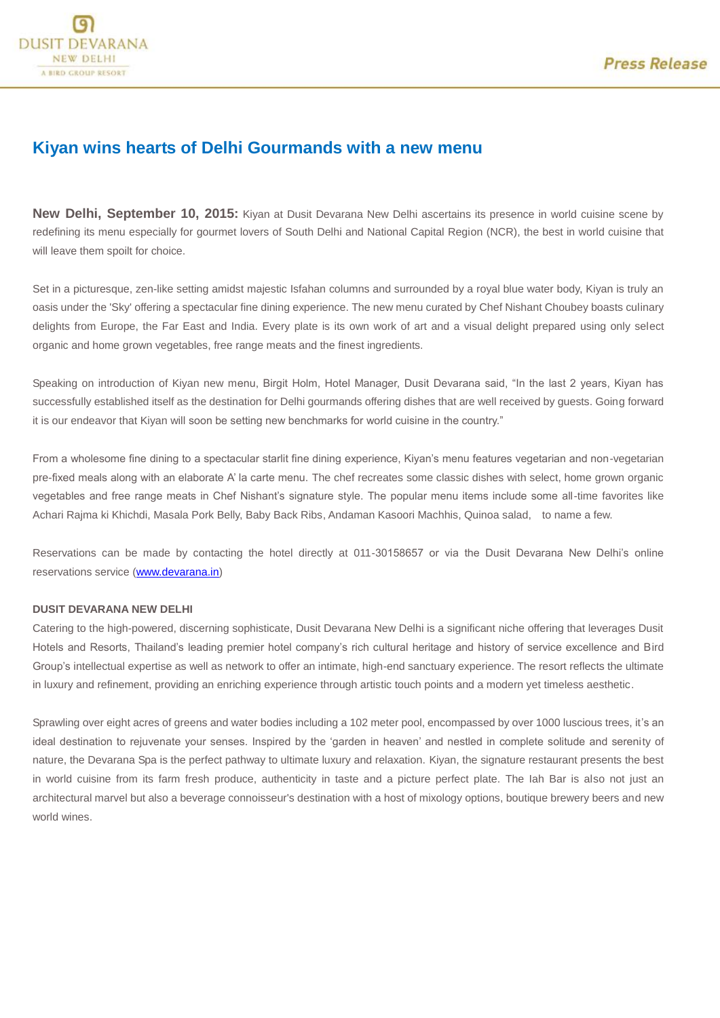## **Kiyan wins hearts of Delhi Gourmands with a new menu**

**New Delhi, September 10, 2015:** Kiyan at Dusit Devarana New Delhi ascertains its presence in world cuisine scene by redefining its menu especially for gourmet lovers of South Delhi and National Capital Region (NCR), the best in world cuisine that will leave them spoilt for choice.

Set in a picturesque, zen-like setting amidst majestic Isfahan columns and surrounded by a royal blue water body, Kiyan is truly an oasis under the 'Sky' offering a spectacular fine dining experience. The new menu curated by Chef Nishant Choubey boasts culinary delights from Europe, the Far East and India. Every plate is its own work of art and a visual delight prepared using only select organic and home grown vegetables, free range meats and the finest ingredients.

Speaking on introduction of Kiyan new menu, Birgit Holm, Hotel Manager, Dusit Devarana said, "In the last 2 years, Kiyan has successfully established itself as the destination for Delhi gourmands offering dishes that are well received by guests. Going forward it is our endeavor that Kiyan will soon be setting new benchmarks for world cuisine in the country."

From a wholesome fine dining to a spectacular starlit fine dining experience, Kiyan's menu features vegetarian and non-vegetarian pre-fixed meals along with an elaborate A' la carte menu. The chef recreates some classic dishes with select, home grown organic vegetables and free range meats in Chef Nishant's signature style. The popular menu items include some all-time favorites like Achari Rajma ki Khichdi, Masala Pork Belly, Baby Back Ribs, Andaman Kasoori Machhis, Quinoa salad, to name a few.

Reservations can be made by contacting the hotel directly at 011-30158657 or via the Dusit Devarana New Delhi's online reservations service [\(www.devarana.in\)](http://www.devarana.in/)

## **DUSIT DEVARANA NEW DELHI**

Catering to the high-powered, discerning sophisticate, Dusit Devarana New Delhi is a significant niche offering that leverages Dusit Hotels and Resorts, Thailand's leading premier hotel company's rich cultural heritage and history of service excellence and Bird Group's intellectual expertise as well as network to offer an intimate, high-end sanctuary experience. The resort reflects the ultimate in luxury and refinement, providing an enriching experience through artistic touch points and a modern yet timeless aesthetic.

Sprawling over eight acres of greens and water bodies including a 102 meter pool, encompassed by over 1000 luscious trees, it's an ideal destination to rejuvenate your senses. Inspired by the 'garden in heaven' and nestled in complete solitude and serenity of nature, the Devarana Spa is the perfect pathway to ultimate luxury and relaxation. Kiyan, the signature restaurant presents the best in world cuisine from its farm fresh produce, authenticity in taste and a picture perfect plate. The Iah Bar is also not just an architectural marvel but also a beverage connoisseur's destination with a host of mixology options, boutique brewery beers and new world wines.